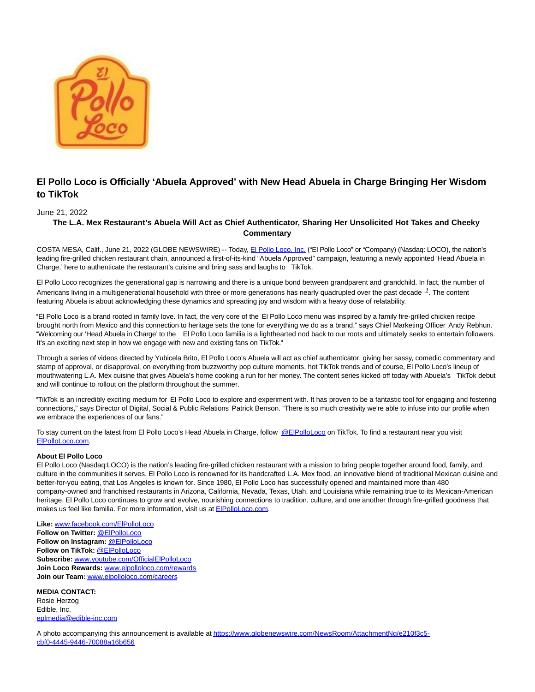

## **El Pollo Loco is Officially 'Abuela Approved' with New Head Abuela in Charge Bringing Her Wisdom to TikTok**

## June 21, 2022

## **The L.A. Mex Restaurant's Abuela Will Act as Chief Authenticator, Sharing Her Unsolicited Hot Takes and Cheeky Commentary**

COSTA MESA, Calif., June 21, 2022 (GLOBE NEWSWIRE) -- Today, [El Pollo Loco, Inc. \(](https://www.globenewswire.com/Tracker?data=8MmUI0Deu44_caerDUe3L8WabaBiccqC6gHzjtNVVikdODol1uKoEyC9lTkJo5ko2L2ZuhBpuDk1kB-2eULxXq10e6Q1WdKE1EbNY0Vggr8=)"El Pollo Loco" or "Company) (Nasdaq: LOCO), the nation's leading fire-grilled chicken restaurant chain, announced a first-of-its-kind "Abuela Approved" campaign, featuring a newly appointed 'Head Abuela in Charge,' here to authenticate the restaurant's cuisine and bring sass and laughs to TikTok.

El Pollo Loco recognizes the generational gap is narrowing and there is a unique bond between grandparent and grandchild. In fact, the number of Americans living in a multigenerational household with three or more generations has nearly quadrupled over the past decade  $\cdot$  7. The content featuring Abuela is about acknowledging these dynamics and spreading joy and wisdom with a heavy dose of relatability.

"El Pollo Loco is a brand rooted in family love. In fact, the very core of the El Pollo Loco menu was inspired by a family fire-grilled chicken recipe brought north from Mexico and this connection to heritage sets the tone for everything we do as a brand," says Chief Marketing Officer Andy Rebhun. "Welcoming our 'Head Abuela in Charge' to the El Pollo Loco familia is a lighthearted nod back to our roots and ultimately seeks to entertain followers. It's an exciting next step in how we engage with new and existing fans on TikTok."

Through a series of videos directed by Yubicela Brito, El Pollo Loco's Abuela will act as chief authenticator, giving her sassy, comedic commentary and stamp of approval, or disapproval, on everything from buzzworthy pop culture moments, hot TikTok trends and of course, El Pollo Loco's lineup of mouthwatering L.A. Mex cuisine that gives Abuela's home cooking a run for her money. The content series kicked off today with Abuela's TikTok debut and will continue to rollout on the platform throughout the summer.

"TikTok is an incredibly exciting medium for El Pollo Loco to explore and experiment with. It has proven to be a fantastic tool for engaging and fostering connections," says Director of Digital, Social & Public Relations Patrick Benson. "There is so much creativity we're able to infuse into our profile when we embrace the experiences of our fans."

To stay current on the latest from El Pollo Loco's Head Abuela in Charge, follow [@ElPolloLoco o](https://www.globenewswire.com/Tracker?data=2k2tJWEdlCOocBfI33ax1iBsLhrANwAsc3ND5Uvo2u5WItlVGseNVREH886XU2pR1KmXHDQ6O31sEmc4JnH3wB8wvlVFvCwox0sXAhJ5_vU=)n TikTok. To find a restaurant near you visit [ElPolloLoco.com.](https://www.globenewswire.com/Tracker?data=UpzzwfFSGOxN03-xHwa5FWaCumxnNmiiJvG7mYkUbT4SU8rL3GQj86CM6n7RF3t1RhRpd7Yoe_G1TaEbkN2Tpw==)

## **About El Pollo Loco**

El Pollo Loco (Nasdaq:LOCO) is the nation's leading fire-grilled chicken restaurant with a mission to bring people together around food, family, and culture in the communities it serves. El Pollo Loco is renowned for its handcrafted L.A. Mex food, an innovative blend of traditional Mexican cuisine and better-for-you eating, that Los Angeles is known for. Since 1980, El Pollo Loco has successfully opened and maintained more than 480 company-owned and franchised restaurants in Arizona, California, Nevada, Texas, Utah, and Louisiana while remaining true to its Mexican-American heritage. El Pollo Loco continues to grow and evolve, nourishing connections to tradition, culture, and one another through fire-grilled goodness that makes us feel like familia. For more information, visit us at **ElPolloLoco.com.** 

**Like:** [www.facebook.com/ElPolloLoco](https://www.globenewswire.com/Tracker?data=Zyn3YRJAqhsNXF4bu6QVssXgSU4NHVpW_AkqJs_kCp7h6GYoDrKRWfmMLCQhc3Y9zKgGwpUbxSkXIU1npkj5DBlXatZy25_QRTLeicuhKOJqAD1LLcioGYL-zELlt5sZ) **Follow on Twitter:** [@ElPolloLoco](https://www.globenewswire.com/Tracker?data=2k2tJWEdlCOocBfI33ax1mrpgZfusCwA5Lvh6GeOrI1Pou7v4AQ5hz7I5sKYhn8b6HggdOcJ6O7p9jAibsr2Y5NwJw288hFINKBwSg_3wZU=) **Follow on Instagram:** [@ElPolloLoco](https://www.globenewswire.com/Tracker?data=2k2tJWEdlCOocBfI33ax1r4zfK4xpGohDvh8fJ53rI3Xo3tY8MCUg5ZQAtPPbcJHijCbGJkW4ZeC1CGyYHjJ1DFaSqLElo5Q0prxn6FfsEU=) **Follow on TikTok:** [@ElPolloLoco](https://www.globenewswire.com/Tracker?data=2k2tJWEdlCOocBfI33ax1t4GAuYPeYwpzB3v8xBKxkT_n1PYd9curQ7FIy5eNXq2VuSYb7wFFi4SXD-LeeIOSHYXeCzU7tnAfAxUyq9uqcL-Lae4ML5ynrsK-Jp-PjpE) **Subscribe:** [www.youtube.com/OfficialElPolloLoco](https://www.globenewswire.com/Tracker?data=IDZ3hlyvwn8p802cldkqf0JHF-g6UBg4Zdacc6TnMUGxq4mhWejVVgHyVmbFEd7zQe7bSJ5DunuBHrO2BEbrinvBDc0rqtYkuQvLZv9UiggcPVKZ366XuvPHAFeuAaLmwmuhr5wCqQXE3WbNkMNQvA==) **Join Loco Rewards:** [www.elpolloloco.com/rewards](https://www.globenewswire.com/Tracker?data=VIMOsI5_WI5n31Hv-3UyKHKlkKdCE-M8DOFpQnaLqN1jSL5LzL2ZJrs2C8coP0XdPXnMku9ob5BwCxYNeo_9uIjsl07VeyEoYBMJRI_CtV5cO90_ZsIXqXwcP8r0n1bn) **Join our Team:** [www.elpolloloco.com/careers](https://www.globenewswire.com/Tracker?data=VIMOsI5_WI5n31Hv-3UyKDyMK33fRu-fKjMLk5otulUaEnJxxMscSx-2W43Yd6Ijh8m5ay7xIoTUrh8UpaMx7NSjFbA1kuEfQHeOefWpBjyDlQMtZeMHGbCNEGFBO4t_)

**MEDIA CONTACT:** Rosie Herzog Edible, Inc. [eplmedia@edible-inc.com](https://www.globenewswire.com/Tracker?data=40ZBU73EGuaJ_qpg4OBsfr5jXNwdr9eaIh71AWL7DO2BEDUndG7effak02Q1C6bU-H6Fcd3L_B-sSTLZ3UtdfrkIrRCuXn6S5QQKPUFHn7U=)

A photo accompanying this announcement is available a[t https://www.globenewswire.com/NewsRoom/AttachmentNg/e210f3c5](https://www.globenewswire.com/Tracker?data=iHAc7wFvN-7NBEe1Ds3ON0DtRb_oovvDxecVWd0CUdDwUczZAyXv-Fe-KTf2sbfAgDkL-c7bhu2FGvvr7DkU2StZGOhvdx7Pn-axXvniKdMTA0Cgb1oiv8mI-GQ3BYHdkzWXCLl1At5RaL5tuBSMIKXZlECyrneIo3RRo9bl563BlEup4ONNsqAGewspJrHJ7su7QBwrkRpRsufpo4R5Hhsew-qejwrsEcg5pyENipnXWrhqBdnUt32oOuJ9P-IzQC22FbE10mTwK2Sh9TLZeQ==) cbf0-4445-9446-70088a16b656